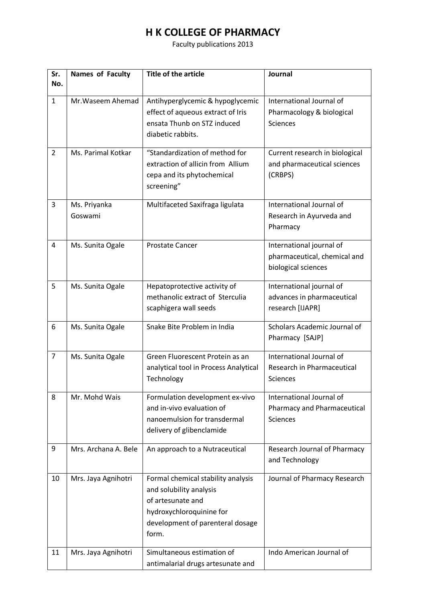## **H K COLLEGE OF PHARMACY**

Faculty publications 2013

| Sr.<br>No.     | Names of Faculty        | <b>Title of the article</b>                                                                                                                                 | Journal                                                                         |
|----------------|-------------------------|-------------------------------------------------------------------------------------------------------------------------------------------------------------|---------------------------------------------------------------------------------|
| $\mathbf{1}$   | Mr. Waseem Ahemad       | Antihyperglycemic & hypoglycemic<br>effect of aqueous extract of Iris<br>ensata Thunb on STZ induced<br>diabetic rabbits.                                   | International Journal of<br>Pharmacology & biological<br><b>Sciences</b>        |
| $\overline{2}$ | Ms. Parimal Kotkar      | "Standardization of method for<br>extraction of allicin from Allium<br>cepa and its phytochemical<br>screening"                                             | Current research in biological<br>and pharmaceutical sciences<br>(CRBPS)        |
| 3              | Ms. Priyanka<br>Goswami | Multifaceted Saxifraga ligulata                                                                                                                             | International Journal of<br>Research in Ayurveda and<br>Pharmacy                |
| 4              | Ms. Sunita Ogale        | <b>Prostate Cancer</b>                                                                                                                                      | International journal of<br>pharmaceutical, chemical and<br>biological sciences |
| 5              | Ms. Sunita Ogale        | Hepatoprotective activity of<br>methanolic extract of Sterculia<br>scaphigera wall seeds                                                                    | International journal of<br>advances in pharmaceutical<br>research [IJAPR]      |
| 6              | Ms. Sunita Ogale        | Snake Bite Problem in India                                                                                                                                 | Scholars Academic Journal of<br>Pharmacy [SAJP]                                 |
| $\overline{7}$ | Ms. Sunita Ogale        | Green Fluorescent Protein as an<br>analytical tool in Process Analytical<br>Technology                                                                      | International Journal of<br>Research in Pharmaceutical<br>Sciences              |
| 8              | Mr. Mohd Wais           | Formulation development ex-vivo<br>and in-vivo evaluation of<br>nanoemulsion for transdermal<br>delivery of glibenclamide                                   | International Journal of<br>Pharmacy and Pharmaceutical<br><b>Sciences</b>      |
| 9              | Mrs. Archana A. Bele    | An approach to a Nutraceutical                                                                                                                              | Research Journal of Pharmacy<br>and Technology                                  |
| 10             | Mrs. Jaya Agnihotri     | Formal chemical stability analysis<br>and solubility analysis<br>of artesunate and<br>hydroxychloroquinine for<br>development of parenteral dosage<br>form. | Journal of Pharmacy Research                                                    |
| 11             | Mrs. Jaya Agnihotri     | Simultaneous estimation of<br>antimalarial drugs artesunate and                                                                                             | Indo American Journal of                                                        |